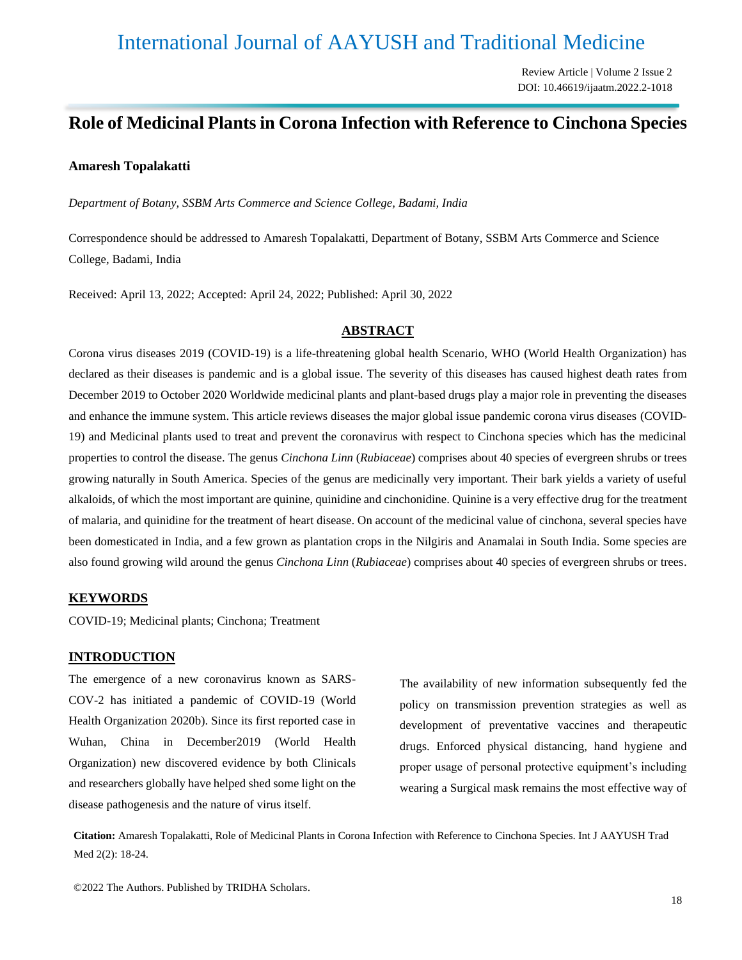# International Journal of AAYUSH and Traditional Medicine

Review Article | Volume 2 Issue 2 DOI: 10.46619/ijaatm.2022.2-1018

# **Role of Medicinal Plants in Corona Infection with Reference to Cinchona Species**

### **Amaresh Topalakatti**

*Department of Botany, SSBM Arts Commerce and Science College, Badami, India*

Correspondence should be addressed to Amaresh Topalakatti, Department of Botany, SSBM Arts Commerce and Science College, Badami, India

Received: April 13, 2022; Accepted: April 24, 2022; Published: April 30, 2022

#### **ABSTRACT**

Corona virus diseases 2019 (COVID-19) is a life-threatening global health Scenario, WHO (World Health Organization) has declared as their diseases is pandemic and is a global issue. The severity of this diseases has caused highest death rates from December 2019 to October 2020 Worldwide medicinal plants and plant-based drugs play a major role in preventing the diseases and enhance the immune system. This article reviews diseases the major global issue pandemic corona virus diseases (COVID-19) and Medicinal plants used to treat and prevent the coronavirus with respect to Cinchona species which has the medicinal properties to control the disease. The genus *Cinchona Linn* (*Rubiaceae*) comprises about 40 species of evergreen shrubs or trees growing naturally in South America. Species of the genus are medicinally very important. Their bark yields a variety of useful alkaloids, of which the most important are quinine, quinidine and cinchonidine. Quinine is a very effective drug for the treatment of malaria, and quinidine for the treatment of heart disease. On account of the medicinal value of cinchona, several species have been domesticated in India, and a few grown as plantation crops in the Nilgiris and Anamalai in South India. Some species are also found growing wild around the genus *Cinchona Linn* (*Rubiaceae*) comprises about 40 species of evergreen shrubs or trees.

#### **KEYWORDS**

COVID-19; Medicinal plants; Cinchona; Treatment

#### **INTRODUCTION**

The emergence of a new coronavirus known as SARS-COV-2 has initiated a pandemic of COVID-19 (World Health Organization 2020b). Since its first reported case in Wuhan, China in December2019 (World Health Organization) new discovered evidence by both Clinicals and researchers globally have helped shed some light on the disease pathogenesis and the nature of virus itself.

The availability of new information subsequently fed the policy on transmission prevention strategies as well as development of preventative vaccines and therapeutic drugs. Enforced physical distancing, hand hygiene and proper usage of personal protective equipment's including wearing a Surgical mask remains the most effective way of

**Citation:** Amaresh Topalakatti, Role of Medicinal Plants in Corona Infection with Reference to Cinchona Species. Int J AAYUSH Trad Med 2(2): 18-24.

©2022 The Authors. Published by TRIDHA Scholars.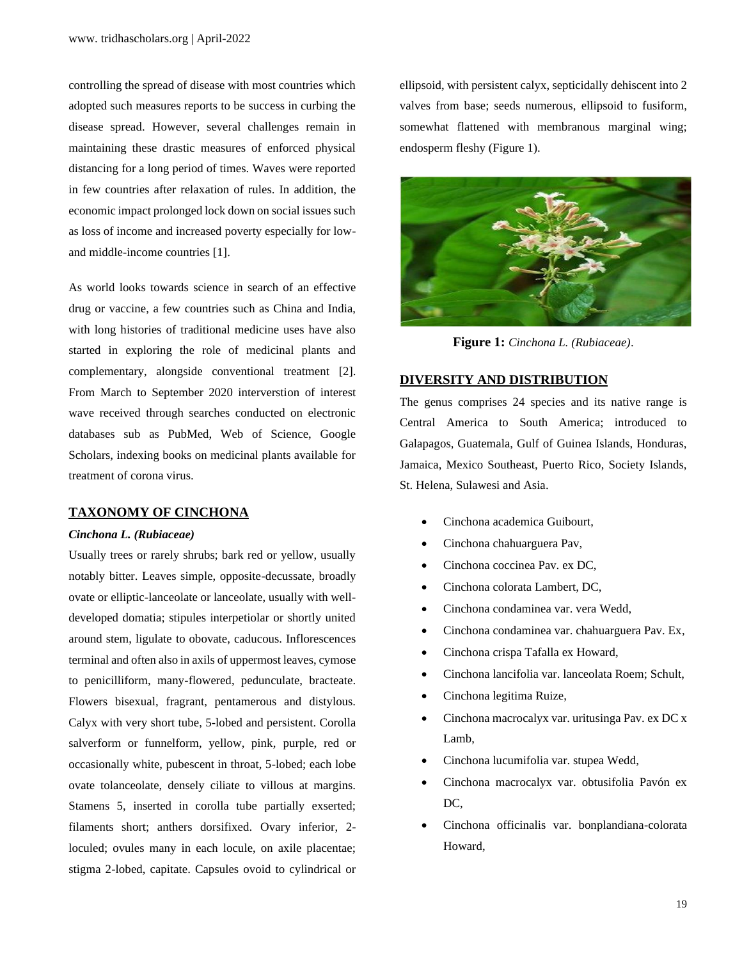controlling the spread of disease with most countries which adopted such measures reports to be success in curbing the disease spread. However, several challenges remain in maintaining these drastic measures of enforced physical distancing for a long period of times. Waves were reported in few countries after relaxation of rules. In addition, the economic impact prolonged lock down on social issues such as loss of income and increased poverty especially for lowand middle-income countries [1].

As world looks towards science in search of an effective drug or vaccine, a few countries such as China and India, with long histories of traditional medicine uses have also started in exploring the role of medicinal plants and complementary, alongside conventional treatment [2]. From March to September 2020 interverstion of interest wave received through searches conducted on electronic databases sub as PubMed, Web of Science, Google Scholars, indexing books on medicinal plants available for treatment of corona virus.

#### **TAXONOMY OF CINCHONA**

#### *Cinchona L. (Rubiaceae)*

Usually trees or rarely shrubs; bark red or yellow, usually notably bitter. Leaves simple, opposite-decussate, broadly ovate or elliptic-lanceolate or lanceolate, usually with welldeveloped domatia; stipules interpetiolar or shortly united around stem, ligulate to obovate, caducous. Inflorescences terminal and often also in axils of uppermost leaves, cymose to penicilliform, many-flowered, pedunculate, bracteate. Flowers bisexual, fragrant, pentamerous and distylous. Calyx with very short tube, 5-lobed and persistent. Corolla salverform or funnelform, yellow, pink, purple, red or occasionally white, pubescent in throat, 5-lobed; each lobe ovate tolanceolate, densely ciliate to villous at margins. Stamens 5, inserted in corolla tube partially exserted; filaments short; anthers dorsifixed. Ovary inferior, 2 loculed; ovules many in each locule, on axile placentae; stigma 2-lobed, capitate. Capsules ovoid to cylindrical or

ellipsoid, with persistent calyx, septicidally dehiscent into 2 valves from base; seeds numerous, ellipsoid to fusiform, somewhat flattened with membranous marginal wing; endosperm fleshy (Figure 1).



**Figure 1:** *Cinchona L. (Rubiaceae)*.

## **DIVERSITY AND DISTRIBUTION**

The genus comprises 24 species and its native range is Central America to South America; introduced to Galapagos, Guatemala, Gulf of Guinea Islands, Honduras, Jamaica, Mexico Southeast, Puerto Rico, Society Islands, St. Helena, Sulawesi and Asia.

- Cinchona academica Guibourt,
- Cinchona chahuarguera Pav,
- Cinchona coccinea Pav. ex DC,
- Cinchona colorata Lambert, DC,
- Cinchona condaminea var. vera Wedd,
- Cinchona condaminea var. chahuarguera Pav. Ex,
- Cinchona crispa Tafalla ex Howard,
- Cinchona lancifolia var. lanceolata Roem; Schult,
- Cinchona legitima Ruize,
- Cinchona macrocalyx var. uritusinga Pav. ex DC x Lamb,
- Cinchona lucumifolia var. stupea Wedd,
- Cinchona macrocalyx var. obtusifolia Pavón ex DC.
- Cinchona officinalis var. bonplandiana-colorata Howard,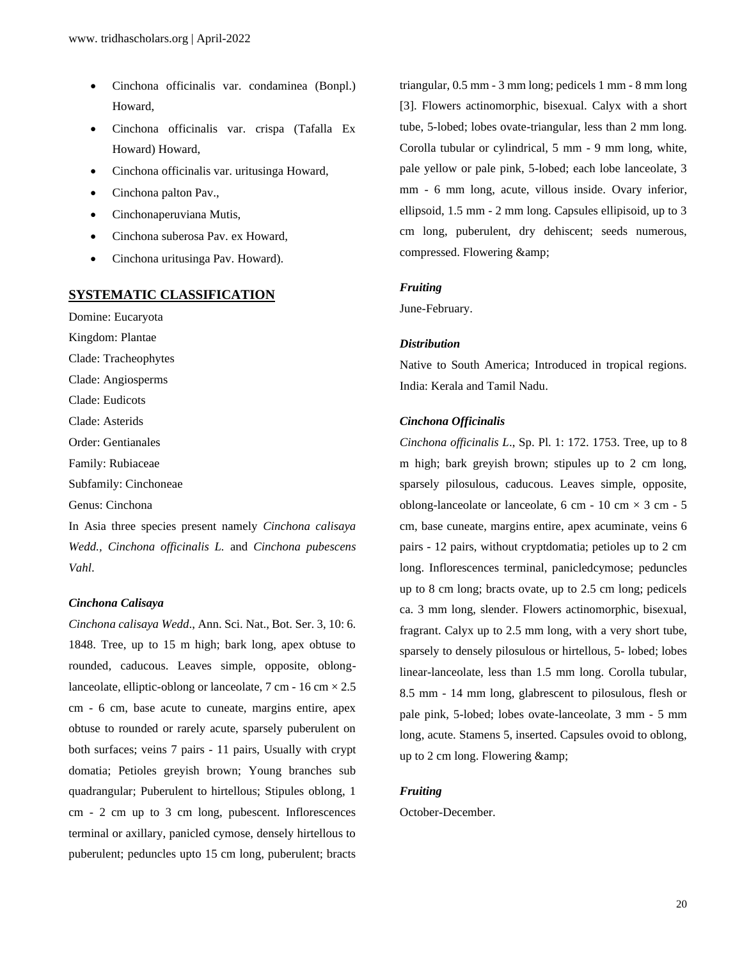- Cinchona officinalis var. condaminea (Bonpl.) Howard,
- Cinchona officinalis var. crispa (Tafalla Ex Howard) Howard,
- Cinchona officinalis var. uritusinga Howard,
- Cinchona palton Pav.,
- Cinchonaperuviana Mutis,
- Cinchona suberosa Pav. ex Howard,
- Cinchona uritusinga Pav. Howard).

#### **SYSTEMATIC CLASSIFICATION**

Domine: Eucaryota Kingdom: Plantae Clade: Tracheophytes Clade: Angiosperms Clade: Eudicots Clade: Asterids Order: Gentianales Family: Rubiaceae Subfamily: Cinchoneae Genus: Cinchona

In Asia three species present namely *Cinchona calisaya Wedd., Cinchona officinalis L.* and *Cinchona pubescens Vahl*.

#### *Cinchona Calisaya*

*Cinchona calisaya Wedd*., Ann. Sci. Nat., Bot. Ser. 3, 10: 6. 1848. Tree, up to 15 m high; bark long, apex obtuse to rounded, caducous. Leaves simple, opposite, oblonglanceolate, elliptic-oblong or lanceolate,  $7 \text{ cm}$  -  $16 \text{ cm} \times 2.5$ cm - 6 cm, base acute to cuneate, margins entire, apex obtuse to rounded or rarely acute, sparsely puberulent on both surfaces; veins 7 pairs - 11 pairs, Usually with crypt domatia; Petioles greyish brown; Young branches sub quadrangular; Puberulent to hirtellous; Stipules oblong, 1 cm - 2 cm up to 3 cm long, pubescent. Inflorescences terminal or axillary, panicled cymose, densely hirtellous to puberulent; peduncles upto 15 cm long, puberulent; bracts

triangular, 0.5 mm - 3 mm long; pedicels 1 mm - 8 mm long [3]. Flowers actinomorphic, bisexual. Calyx with a short tube, 5-lobed; lobes ovate-triangular, less than 2 mm long. Corolla tubular or cylindrical, 5 mm - 9 mm long, white, pale yellow or pale pink, 5-lobed; each lobe lanceolate, 3 mm - 6 mm long, acute, villous inside. Ovary inferior, ellipsoid, 1.5 mm - 2 mm long. Capsules ellipisoid, up to 3 cm long, puberulent, dry dehiscent; seeds numerous, compressed. Flowering &

#### *Fruiting*

June-February.

#### *Distribution*

Native to South America; Introduced in tropical regions. India: Kerala and Tamil Nadu.

#### *Cinchona Officinalis*

*Cinchona officinalis L*., Sp. Pl. 1: 172. 1753. Tree, up to 8 m high; bark greyish brown; stipules up to 2 cm long, sparsely pilosulous, caducous. Leaves simple, opposite, oblong-lanceolate or lanceolate, 6 cm - 10 cm  $\times$  3 cm - 5 cm, base cuneate, margins entire, apex acuminate, veins 6 pairs - 12 pairs, without cryptdomatia; petioles up to 2 cm long. Inflorescences terminal, panicledcymose; peduncles up to 8 cm long; bracts ovate, up to 2.5 cm long; pedicels ca. 3 mm long, slender. Flowers actinomorphic, bisexual, fragrant. Calyx up to 2.5 mm long, with a very short tube, sparsely to densely pilosulous or hirtellous, 5- lobed; lobes linear-lanceolate, less than 1.5 mm long. Corolla tubular, 8.5 mm - 14 mm long, glabrescent to pilosulous, flesh or pale pink, 5-lobed; lobes ovate-lanceolate, 3 mm - 5 mm long, acute. Stamens 5, inserted. Capsules ovoid to oblong, up to 2 cm long. Flowering &

#### *Fruiting*

October-December.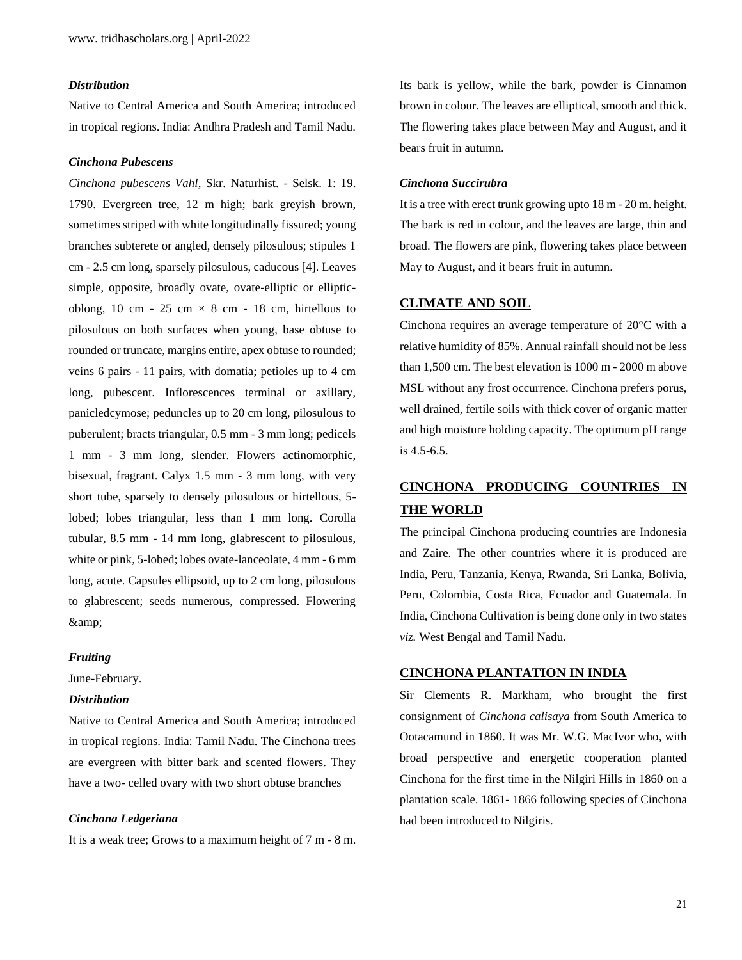#### *Distribution*

Native to Central America and South America; introduced in tropical regions. India: Andhra Pradesh and Tamil Nadu.

#### *Cinchona Pubescens*

*Cinchona pubescens Vahl*, Skr. Naturhist. - Selsk. 1: 19. 1790. Evergreen tree, 12 m high; bark greyish brown, sometimes striped with white longitudinally fissured; young branches subterete or angled, densely pilosulous; stipules 1 cm - 2.5 cm long, sparsely pilosulous, caducous [4]. Leaves simple, opposite, broadly ovate, ovate-elliptic or ellipticoblong, 10 cm - 25 cm  $\times$  8 cm - 18 cm, hirtellous to pilosulous on both surfaces when young, base obtuse to rounded or truncate, margins entire, apex obtuse to rounded; veins 6 pairs - 11 pairs, with domatia; petioles up to 4 cm long, pubescent. Inflorescences terminal or axillary, panicledcymose; peduncles up to 20 cm long, pilosulous to puberulent; bracts triangular, 0.5 mm - 3 mm long; pedicels 1 mm - 3 mm long, slender. Flowers actinomorphic, bisexual, fragrant. Calyx 1.5 mm - 3 mm long, with very short tube, sparsely to densely pilosulous or hirtellous, 5 lobed; lobes triangular, less than 1 mm long. Corolla tubular, 8.5 mm - 14 mm long, glabrescent to pilosulous, white or pink, 5-lobed; lobes ovate-lanceolate, 4 mm - 6 mm long, acute. Capsules ellipsoid, up to 2 cm long, pilosulous to glabrescent; seeds numerous, compressed. Flowering &

#### *Fruiting*

June-February.

# *Distribution*

Native to Central America and South America; introduced in tropical regions. India: Tamil Nadu. The Cinchona trees are evergreen with bitter bark and scented flowers. They have a two- celled ovary with two short obtuse branches

#### *Cinchona Ledgeriana*

It is a weak tree; Grows to a maximum height of 7 m - 8 m.

Its bark is yellow, while the bark, powder is Cinnamon brown in colour. The leaves are elliptical, smooth and thick. The flowering takes place between May and August, and it bears fruit in autumn.

#### *Cinchona Succirubra*

It is a tree with erect trunk growing upto 18 m - 20 m. height. The bark is red in colour, and the leaves are large, thin and broad. The flowers are pink, flowering takes place between May to August, and it bears fruit in autumn.

#### **CLIMATE AND SOIL**

Cinchona requires an average temperature of 20°C with a relative humidity of 85%. Annual rainfall should not be less than 1,500 cm. The best elevation is 1000 m - 2000 m above MSL without any frost occurrence. Cinchona prefers porus, well drained, fertile soils with thick cover of organic matter and high moisture holding capacity. The optimum pH range is 4.5-6.5.

# **CINCHONA PRODUCING COUNTRIES IN THE WORLD**

The principal Cinchona producing countries are Indonesia and Zaire. The other countries where it is produced are India, Peru, Tanzania, Kenya, Rwanda, Sri Lanka, Bolivia, Peru, Colombia, Costa Rica, Ecuador and Guatemala. In India, Cinchona Cultivation is being done only in two states *viz.* West Bengal and Tamil Nadu.

#### **CINCHONA PLANTATION IN INDIA**

Sir Clements R. Markham, who brought the first consignment of *Cinchona calisaya* from South America to Ootacamund in 1860. It was Mr. W.G. MacIvor who, with broad perspective and energetic cooperation planted Cinchona for the first time in the Nilgiri Hills in 1860 on a plantation scale. 1861- 1866 following species of Cinchona had been introduced to Nilgiris.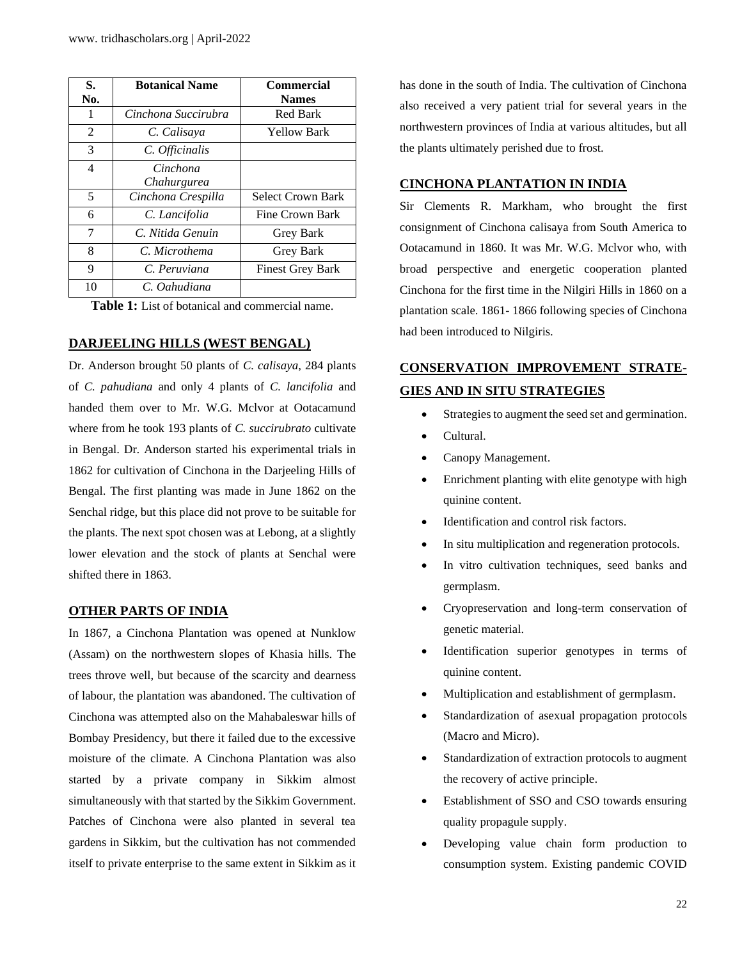| S.  | <b>Botanical Name</b> | <b>Commercial</b>        |
|-----|-----------------------|--------------------------|
| No. |                       | <b>Names</b>             |
| 1   | Cinchona Succirubra   | <b>Red Bark</b>          |
| 2   | C. Calisaya           | Yellow Bark              |
| 3   | C. Officinalis        |                          |
| 4   | Cinchona              |                          |
|     | Chahurgurea           |                          |
| 5   | Cinchona Crespilla    | <b>Select Crown Bark</b> |
| 6   | C. Lancifolia         | <b>Fine Crown Bark</b>   |
| 7   | C. Nitida Genuin      | <b>Grey Bark</b>         |
| 8   | C. Microthema         | Grey Bark                |
| 9   | C. Peruviana          | <b>Finest Grey Bark</b>  |
| 10  | C. Oahudiana          |                          |

**Table 1:** List of botanical and commercial name.

### **DARJEELING HILLS (WEST BENGAL)**

Dr. Anderson brought 50 plants of *C. calisaya*, 284 plants of *C. pahudiana* and only 4 plants of *C. lancifolia* and handed them over to Mr. W.G. Mclvor at Ootacamund where from he took 193 plants of *C. succirubrato* cultivate in Bengal. Dr. Anderson started his experimental trials in 1862 for cultivation of Cinchona in the Darjeeling Hills of Bengal. The first planting was made in June 1862 on the Senchal ridge, but this place did not prove to be suitable for the plants. The next spot chosen was at Lebong, at a slightly lower elevation and the stock of plants at Senchal were shifted there in 1863.

#### **OTHER PARTS OF INDIA**

In 1867, a Cinchona Plantation was opened at Nunklow (Assam) on the northwestern slopes of Khasia hills. The trees throve well, but because of the scarcity and dearness of labour, the plantation was abandoned. The cultivation of Cinchona was attempted also on the Mahabaleswar hills of Bombay Presidency, but there it failed due to the excessive moisture of the climate. A Cinchona Plantation was also started by a private company in Sikkim almost simultaneously with that started by the Sikkim Government. Patches of Cinchona were also planted in several tea gardens in Sikkim, but the cultivation has not commended itself to private enterprise to the same extent in Sikkim as it

has done in the south of India. The cultivation of Cinchona also received a very patient trial for several years in the northwestern provinces of India at various altitudes, but all the plants ultimately perished due to frost.

## **CINCHONA PLANTATION IN INDIA**

Sir Clements R. Markham, who brought the first consignment of Cinchona calisaya from South America to Ootacamund in 1860. It was Mr. W.G. Mclvor who, with broad perspective and energetic cooperation planted Cinchona for the first time in the Nilgiri Hills in 1860 on a plantation scale. 1861- 1866 following species of Cinchona had been introduced to Nilgiris.

# **CONSERVATION IMPROVEMENT STRATE-GIES AND IN SITU STRATEGIES**

- Strategies to augment the seed set and germination.
- Cultural.
- Canopy Management.
- Enrichment planting with elite genotype with high quinine content.
- Identification and control risk factors.
- In situ multiplication and regeneration protocols.
- In vitro cultivation techniques, seed banks and germplasm.
- Cryopreservation and long-term conservation of genetic material.
- Identification superior genotypes in terms of quinine content.
- Multiplication and establishment of germplasm.
- Standardization of asexual propagation protocols (Macro and Micro).
- Standardization of extraction protocols to augment the recovery of active principle.
- Establishment of SSO and CSO towards ensuring quality propagule supply.
- Developing value chain form production to consumption system. Existing pandemic COVID